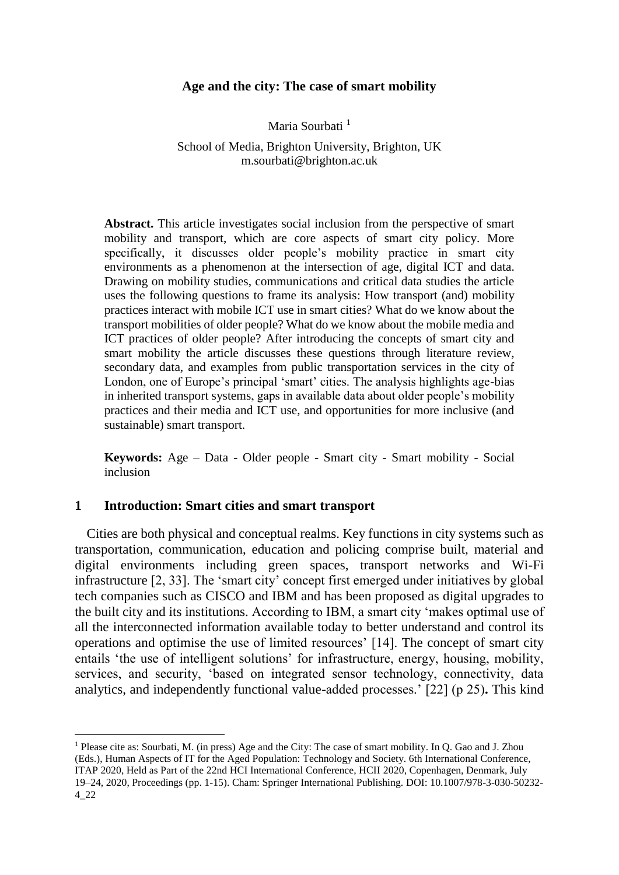### **Age and the city: The case of smart mobility**

Maria Sourbati<sup>1</sup>

School of Media, Brighton University, Brighton, UK m.sourbati@brighton.ac.uk

**Abstract.** This article investigates social inclusion from the perspective of smart mobility and transport, which are core aspects of smart city policy. More specifically, it discusses older people's mobility practice in smart city environments as a phenomenon at the intersection of age, digital ICT and data. Drawing on mobility studies, communications and critical data studies the article uses the following questions to frame its analysis: How transport (and) mobility practices interact with mobile ICT use in smart cities? What do we know about the transport mobilities of older people? What do we know about the mobile media and ICT practices of older people? After introducing the concepts of smart city and smart mobility the article discusses these questions through literature review, secondary data, and examples from public transportation services in the city of London, one of Europe's principal 'smart' cities. The analysis highlights age-bias in inherited transport systems, gaps in available data about older people's mobility practices and their media and ICT use, and opportunities for more inclusive (and sustainable) smart transport.

**Keywords:** Age – Data - Older people - Smart city - Smart mobility - Social inclusion

### **1 Introduction: Smart cities and smart transport**

<u>.</u>

Cities are both physical and conceptual realms. Key functions in city systems such as transportation, communication, education and policing comprise built, material and digital environments including green spaces, transport networks and Wi-Fi infrastructure [2, 33]. The 'smart city' concept first emerged under initiatives by global tech companies such as [CISCO](https://blogs.cisco.com/tag/smart-cities) and IBM and has been proposed as digital upgrades to the built city and its institutions. According to IBM, a smart city 'makes optimal use of all the interconnected information available today to better understand and control its operations and optimise the use of limited resources' [14]. The concept of smart city entails 'the use of intelligent solutions' for infrastructure, energy, housing, mobility, services, and security, 'based on integrated sensor technology, connectivity, data analytics, and independently functional value-added processes.' [22] (p 25)**.** This kind

<sup>1</sup> Please cite as: Sourbati, M. (in press) Age and the City: The case of smart mobility. In Q. Gao and J. Zhou (Eds.), Human Aspects of IT for the Aged Population: Technology and Society. 6th International Conference, ITAP 2020, Held as Part of the 22nd HCI International Conference, HCII 2020, Copenhagen, Denmark, July 19–24, 2020, Proceedings (pp. 1-15). Cham: Springer International Publishing. [DOI: 10.1007/978-3-030-50232-](https://doi.org/10.1007/978-3-030-50232-4_22) [4\\_22](https://doi.org/10.1007/978-3-030-50232-4_22)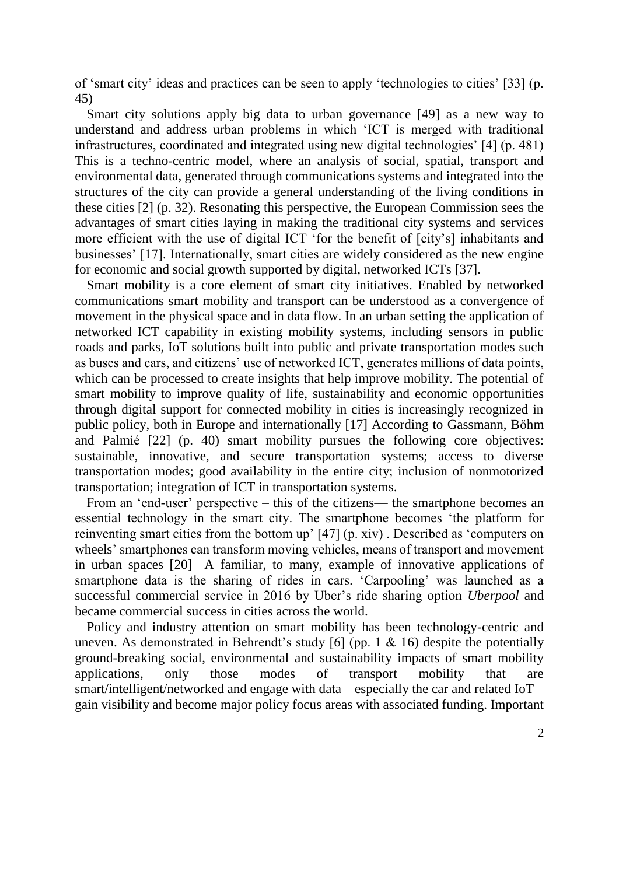of 'smart city' ideas and practices can be seen to apply 'technologies to cities' [33] (p. 45)

Smart city solutions apply big data to urban governance [49] as a new way to understand and address urban problems in which 'ICT is merged with traditional infrastructures, coordinated and integrated using new digital technologies' [4] (p. 481) This is a techno-centric model, where an analysis of social, spatial, transport and environmental data, generated through communications systems and integrated into the structures of the city can provide a general understanding of the living conditions in these cities [2] (p. 32). Resonating this perspective, the European Commission sees the advantages of smart cities laying in making the traditional city systems and services more efficient with the use of digital ICT 'for the benefit of [city's] inhabitants and businesses' [17]. Internationally, smart cities are widely considered as the new engine for economic and social growth supported by digital, networked ICTs [37].

Smart mobility is a core element of smart city initiatives. Enabled by networked communications smart mobility and transport can be understood as a convergence of movement in the physical space and in data flow. In an urban setting the application of networked ICT capability in existing mobility systems, including sensors in public roads and parks, IoT solutions built into public and private transportation modes such as buses and cars, and citizens' use of networked ICT, generates millions of data points, which can be processed to create insights that help improve mobility. The potential of smart mobility to improve quality of life, sustainability and economic opportunities through digital support for connected mobility in cities is increasingly recognized in public policy, both in Europe and internationally [17] According to Gassmann, Böhm and Palmié [22] (p. 40) smart mobility pursues the following core objectives: sustainable, innovative, and secure transportation systems; access to diverse transportation modes; good availability in the entire city; inclusion of nonmotorized transportation; integration of ICT in transportation systems.

From an 'end-user' perspective – this of the citizens— the smartphone becomes an essential technology in the smart city. The smartphone becomes 'the platform for reinventing smart cities from the bottom up' [47] (p. xiv) . Described as 'computers on wheels' smartphones can transform moving vehicles, means of transport and movement in urban spaces [20] A familiar, to many, example of innovative applications of smartphone data is the sharing of rides in cars. 'Carpooling' was launched as a successful commercial service in 2016 by Uber's ride sharing option *Uberpool* and became commercial success in cities across the world.

Policy and industry attention on smart mobility has been technology-centric and uneven. As demonstrated in Behrendt's study [6] (pp. 1 & 16) despite the potentially ground-breaking social, environmental and sustainability impacts of smart mobility applications, only those modes of transport mobility that are smart/intelligent/networked and engage with data – especially the car and related IoT – gain visibility and become major policy focus areas with associated funding. Important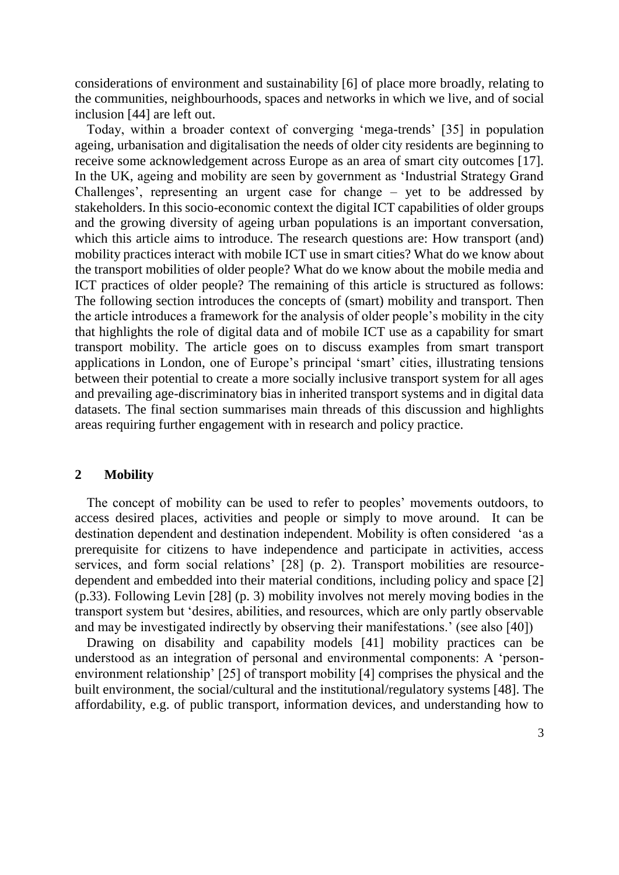considerations of environment and sustainability [6] of place more broadly, relating to the communities, neighbourhoods, spaces and networks in which we live, and of social inclusion [44] are left out.

Today, within a broader context of converging ['mega-trends'](file:///C:/Users/ms56/Documents/Papers/HCI2020/(https:/www.pwc.co.uk/issues/megatrends.html)%20https:/www2.deloitte.com/content/dam/Deloitte/nl/Documents/public-sector/deloitte-nl-ps-megatrends-2ndedition.pdf) [35] in population ageing, urbanisation and digitalisation the needs of older city residents are beginning to receive some acknowledgement across Europe as an area of smart city outcomes [17]. In the UK, ageing and mobility are seen by government as 'Industrial Strategy Grand Challenges', representing an urgent case for change – yet to be addressed by stakeholders. In this socio-economic context the digital ICT capabilities of older groups and the growing diversity of ageing urban populations is an important conversation, which this article aims to introduce. The research questions are: How transport (and) mobility practices interact with mobile ICT use in smart cities? What do we know about the transport mobilities of older people? What do we know about the mobile media and ICT practices of older people? The remaining of this article is structured as follows: The following section introduces the concepts of (smart) mobility and transport. Then the article introduces a framework for the analysis of older people's mobility in the city that highlights the role of digital data and of mobile ICT use as a capability for smart transport mobility. The article goes on to discuss examples from smart transport applications in London, one of Europe's principal 'smart' cities, illustrating tensions between their potential to create a more socially inclusive transport system for all ages and prevailing age-discriminatory bias in inherited transport systems and in digital data datasets. The final section summarises main threads of this discussion and highlights areas requiring further engagement with in research and policy practice.

## **2 Mobility**

The concept of mobility can be used to refer to peoples' movements outdoors, to access desired places, activities and people or simply to move around. It can be destination dependent and destination independent. Mobility is often considered 'as a prerequisite for citizens to have independence and participate in activities, access services, and form social relations' [28] (p. 2). Transport mobilities are resourcedependent and embedded into their material conditions, including policy and space [2] (p.33). Following Levin [28] (p. 3) mobility involves not merely moving bodies in the transport system but 'desires, abilities, and resources, which are only partly observable and may be investigated indirectly by observing their manifestations.' (see also [40])

Drawing on disability and capability models [41] mobility practices can be understood as an integration of personal and environmental components: A 'personenvironment relationship' [25] of transport mobility [4] comprises the physical and the built environment, the social/cultural and the institutional/regulatory systems [48]. The affordability, e.g. of public transport, information devices, and understanding how to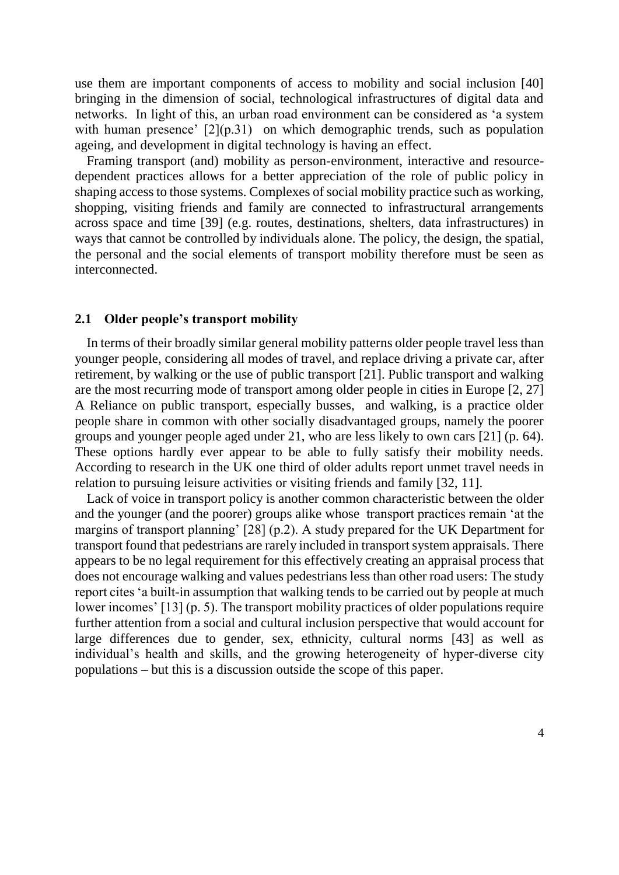use them are important components of access to mobility and social inclusion [40] bringing in the dimension of social, technological infrastructures of digital data and networks. In light of this, an urban road environment can be considered as 'a system with human presence' [2](p.31) on which demographic trends, such as population ageing, and development in digital technology is having an effect.

Framing transport (and) mobility as person-environment, interactive and resourcedependent practices allows for a better appreciation of the role of public policy in shaping access to those systems. Complexes of social mobility practice such as working, shopping, visiting friends and family are connected to infrastructural arrangements across space and time [39] (e.g. routes, destinations, shelters, data infrastructures) in ways that cannot be controlled by individuals alone. The policy, the design, the spatial, the personal and the social elements of transport mobility therefore must be seen as interconnected.

### **2.1 Older people's transport mobility**

In terms of their broadly similar general mobility patterns older people travel less than younger people, considering all modes of travel, and replace driving a private car, after retirement, by walking or the use of public transport [21]. Public transport and walking are the most recurring mode of transport among older people in cities in Europe [2, 27] A Reliance on public transport, especially busses, and walking, is a practice older people share in common with other socially disadvantaged groups, namely the poorer groups and younger people aged under 21, who are less likely to own cars [21] (p. 64). These options hardly ever appear to be able to fully satisfy their mobility needs. According to research in the UK one third of older adults report unmet travel needs in relation to pursuing leisure activities or visiting friends and family [32, 11].

Lack of voice in transport policy is another common characteristic between the older and the younger (and the poorer) groups alike whose transport practices remain 'at the margins of transport planning' [28] (p.2). A study prepared for the [UK Department for](https://www.gov.uk/guidance/transport-analysis-guidance-webtag)  [transport](https://www.gov.uk/guidance/transport-analysis-guidance-webtag) found that pedestrians are rarely included in transport system appraisals. There appears to be no legal requirement for this effectively creating an appraisal process that does not encourage walking and values pedestrians less than other road users: The study report cites 'a built-in assumption that walking tends to be carried out by people at much lower incomes' [13] (p. 5). The transport mobility practices of older populations require further attention from a social and cultural inclusion perspective that would account for large differences due to gender, sex, ethnicity, cultural norms [43] as well as individual's health and skills, and the growing heterogeneity of hyper-diverse city populations – but this is a discussion outside the scope of this paper.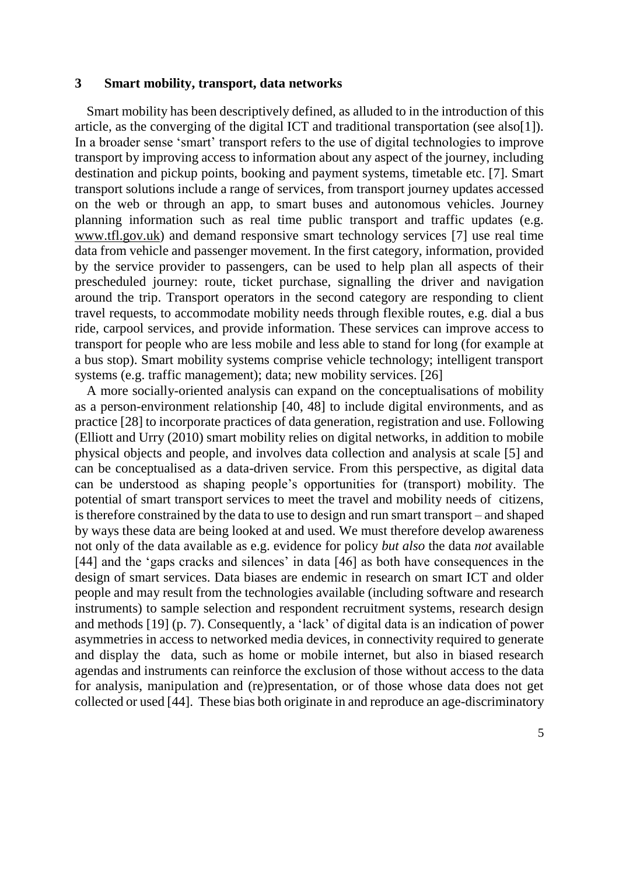### **3 Smart mobility, transport, data networks**

Smart mobility has been descriptively defined, as alluded to in the introduction of this article, as the converging of the digital ICT and traditional transportation (see also[1]). In a broader sense 'smart' transport refers to the use of digital technologies to improve transport by improving access to information about any aspect of the journey, including destination and pickup points, booking and payment systems, timetable etc. [7]. Smart transport solutions include a range of services, from transport journey updates accessed on the web or through an app, to smart buses and autonomous vehicles. Journey planning information such as real time public transport and traffic updates (e.g. [www.tfl.gov.uk\)](http://www.tfl.gov.uk/) and demand responsive smart technology services [7] use real time data from vehicle and passenger movement. In the first category, information, provided by the service provider to passengers, can be used to help plan all aspects of their prescheduled journey: route, ticket purchase, signalling the driver and navigation around the trip. Transport operators in the second category are responding to client travel requests, to accommodate mobility needs through flexible routes, e.g. dial a bus ride, carpool services, and provide information. These services can improve access to transport for people who are less mobile and less able to stand for long (for example at a bus stop). Smart mobility systems comprise vehicle technology; intelligent transport systems (e.g. traffic management); data; new mobility services. [26]

A more socially-oriented analysis can expand on the conceptualisations of mobility as a person-environment relationship [40, 48] to include digital environments, and as practice [28] to incorporate practices of data generation, registration and use. Following (Elliott and Urry (2010) smart mobility relies on digital networks, in addition to mobile physical objects and people, and involves data collection and analysis at scale [5] and can be conceptualised as a data-driven service. From this perspective, as digital data can be understood as shaping people's opportunities for (transport) mobility. The potential of smart transport services to meet the travel and mobility needs of citizens, is therefore constrained by the data to use to design and run smart transport – and shaped by ways these data are being looked at and used. We must therefore develop awareness not only of the data available as e.g. evidence for policy *but also* the data *not* available [44] and the 'gaps cracks and silences' in data [46] as both have consequences in the design of smart services. Data biases are endemic in research on smart ICT and older people and may result from the technologies available (including software and research instruments) to sample selection and respondent recruitment systems, research design and methods [19] (p. 7). Consequently, a 'lack' of digital data is an indication of power asymmetries in access to networked media devices, in connectivity required to generate and display the data, such as home or mobile internet, but also in biased research agendas and instruments can reinforce the exclusion of those without access to the data for analysis, manipulation and (re)presentation, or of those whose data does not get collected or used [44]. These bias both originate in and reproduce an age-discriminatory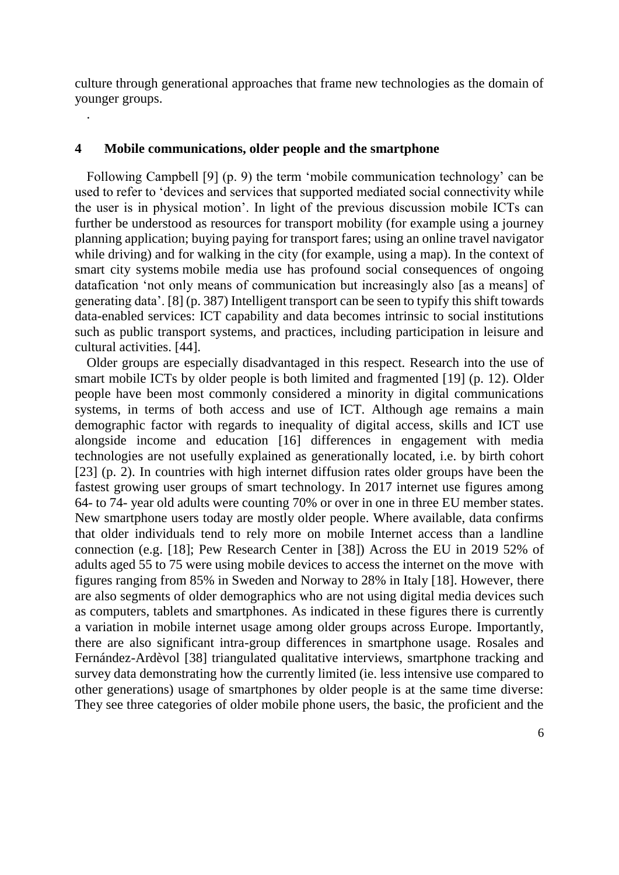culture through generational approaches that frame new technologies as the domain of younger groups.

### **4 Mobile communications, older people and the smartphone**

.

Following Campbell [9] (p. 9) the term 'mobile communication technology' can be used to refer to 'devices and services that supported mediated social connectivity while the user is in physical motion'. In light of the previous discussion mobile ICTs can further be understood as resources for transport mobility (for example using a journey planning application; buying paying for transport fares; using an online travel navigator while driving) and for walking in the city (for example, using a map). In the context of smart city systems mobile media use has profound social consequences of ongoing datafication 'not only means of communication but increasingly also [as a means] of generating data'. [8] (p. 387) Intelligent transport can be seen to typify this shift towards data-enabled services: ICT capability and data becomes intrinsic to social institutions such as public transport systems, and practices, including participation in leisure and cultural activities. [44].

Older groups are especially disadvantaged in this respect. Research into the use of smart mobile ICTs by older people is both limited and fragmented [19] (p. 12). Older people have been most commonly considered a minority in digital communications systems, in terms of both access and use of ICT. Although age remains a main demographic factor with regards to inequality of digital access, skills and ICT use alongside income and education [16] differences in engagement with media technologies are not usefully explained as generationally located, i.e. by birth cohort [23] (p. 2). In countries with high internet diffusion rates older groups have been the fastest growing user groups of smart technology. In 2017 internet use figures among 64- to 74- year old adults were counting 70% or over in one in three EU member states. New smartphone users today are mostly older people. Where available, data confirms that older individuals tend to rely more on mobile Internet access than a landline connection (e.g. [18]; Pew Research Center in [38]) Across the EU in 2019 52% of adults aged 55 to 75 were using mobile devices to access the internet on the move with figures ranging from 85% in Sweden and Norway to 28% in Italy [18]. However, there are also segments of older demographics who are not using digital media devices such as computers, tablets and smartphones. As indicated in these figures there is currently a variation in mobile internet usage among older groups across Europe. Importantly, there are also significant intra-group differences in smartphone usage. Rosales and Fernández-Ardèvol [38] triangulated qualitative interviews, smartphone tracking and survey data demonstrating how the currently limited (ie. less intensive use compared to other generations) usage of smartphones by older people is at the same time diverse: They see three categories of older mobile phone users, the basic, the proficient and the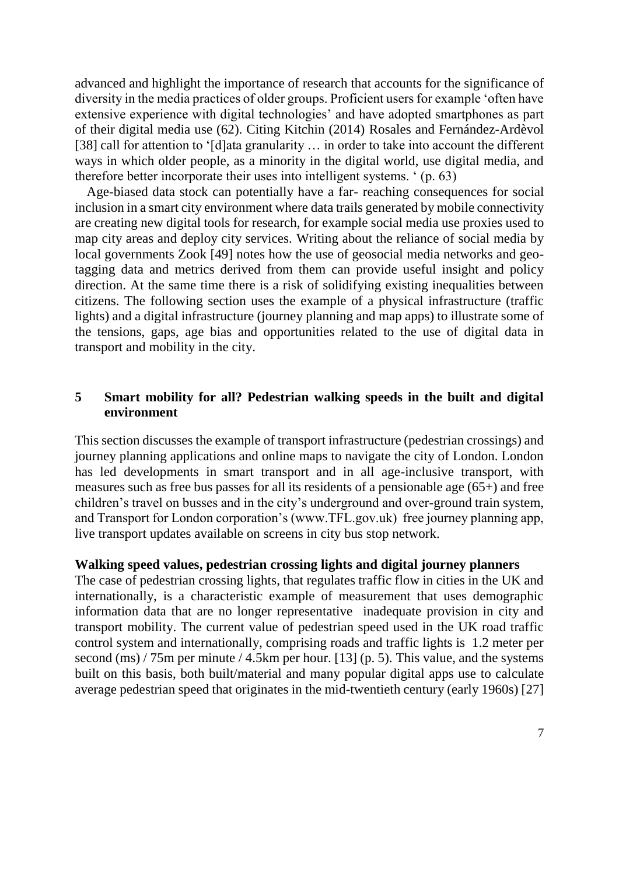advanced and highlight the importance of research that accounts for the significance of diversity in the media practices of older groups. Proficient users for example 'often have extensive experience with digital technologies' and have adopted smartphones as part of their digital media use (62). Citing Kitchin (2014) Rosales and Fernández-Ardèvol [38] call for attention to '[d]ata granularity ... in order to take into account the different ways in which older people, as a minority in the digital world, use digital media, and therefore better incorporate their uses into intelligent systems. ' (p. 63)

Age-biased data stock can potentially have a far- reaching consequences for social inclusion in a smart city environment where data trails generated by mobile connectivity are creating new digital tools for research, for example social media use proxies used to map city areas and deploy city services. Writing about the reliance of social media by local governments Zook [49] notes how the use of geosocial media networks and geotagging data and metrics derived from them can provide useful insight and policy direction. At the same time there is a risk of solidifying existing inequalities between citizens. The following section uses the example of a physical infrastructure (traffic lights) and a digital infrastructure (journey planning and map apps) to illustrate some of the tensions, gaps, age bias and opportunities related to the use of digital data in transport and mobility in the city.

# **5 Smart mobility for all? Pedestrian walking speeds in the built and digital environment**

This section discusses the example of transport infrastructure (pedestrian crossings) and journey planning applications and online maps to navigate the city of London. London has led developments in smart transport and in all age-inclusive transport, with measures such as free bus passes for all its residents of a pensionable age (65+) and free children's travel on busses and in the city's underground and over-ground train system, and Transport for London corporation's (www.TFL.gov.uk) free journey planning app, live transport updates available on screens in city bus stop network.

## **Walking speed values, pedestrian crossing lights and digital journey planners**

The case of pedestrian crossing lights, that regulates traffic flow in cities in the UK and internationally, is a characteristic example of measurement that uses demographic information data that are no longer representative inadequate provision in city and transport mobility. The current value of pedestrian speed used in the UK road traffic control system and internationally, comprising roads and traffic lights is 1.2 meter per second (ms) / 75m per minute / 4.5km per hour. [13] (p. 5). This value, and the systems built on this basis, both built/material and many popular digital apps use to calculate average pedestrian speed that originates in the mid-twentieth century (early 1960s) [27]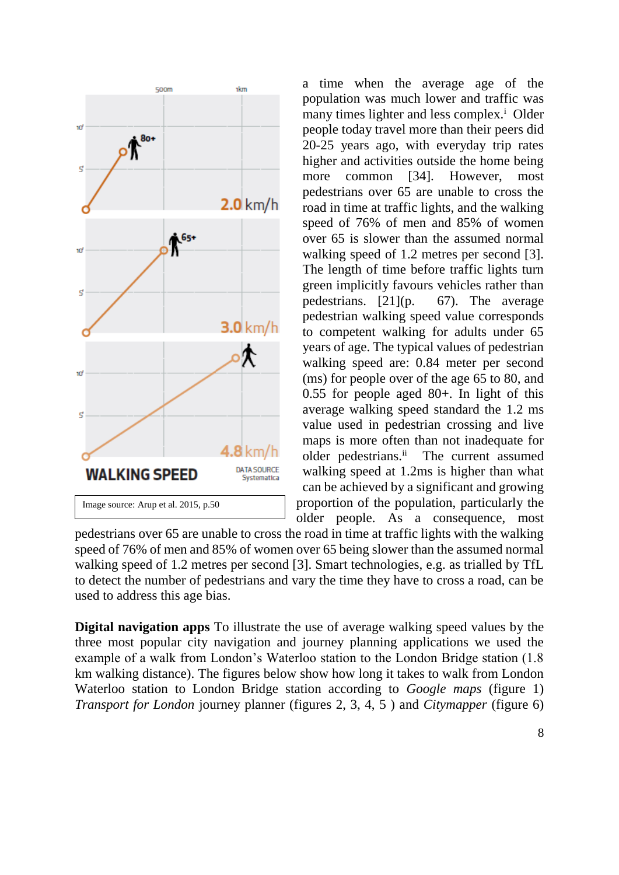

a time when the average age of the population was much lower and traffic was many times lighter and less complex.<sup>i</sup> Older people today travel more than their peers did 20-25 years ago, with everyday trip rates higher and activities outside the home being more common [34]. However, most pedestrians over 65 are unable to cross the road in time at traffic lights, and the walking speed of 76% of men and 85% of women over 65 is slower than the assumed normal walking speed of 1.2 metres per second [3]. The length of time before traffic lights turn green implicitly favours vehicles rather than pedestrians. [21](p. 67). The average pedestrian walking speed value corresponds to competent walking for adults under 65 years of age. The typical values of pedestrian walking speed are: 0.84 meter per second (ms) for people over of the age 65 to 80, and 0.55 for people aged 80+. In light of this average walking speed standard the 1.2 ms value used in pedestrian crossing and live maps is more often than not inadequate for older pedestrians.<sup>ii</sup> The current assumed walking speed at 1.2ms is higher than what can be achieved by a significant and growing proportion of the population, particularly the older people. As a consequence, most

pedestrians over 65 are unable to cross the road in time at traffic lights with the walking speed of 76% of men and 85% of women over 65 being slower than the assumed normal walking speed of 1.2 metres per second [3]. Smart technologies, e.g. as trialled by TfL to detect the number of pedestrians and vary the time they have to cross a road, can be used to address this age bias.

**Digital navigation apps** To illustrate the use of average walking speed values by the three most popular city navigation and journey planning applications we used the example of a walk from London's Waterloo station to the London Bridge station (1.8 km walking distance). The figures below show how long it takes to walk from London Waterloo station to London Bridge station according to *Google maps* (figure 1) *Transport for London* journey planner (figures 2, 3, 4, 5 ) and *Citymapper* (figure 6)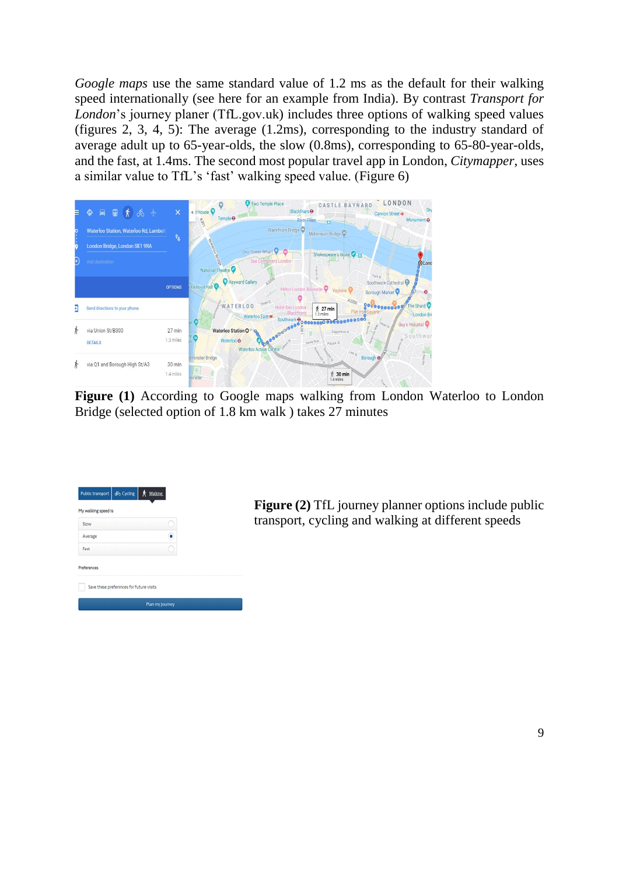*Google maps* use the same standard value of 1.2 ms as the default for their walking speed internationally (see [here](https://www.quora.com/What-is-the-assumed-walking-speed-in-Google-Mapss-time-estimates) for an example from India). By contrast *Transport for London*'s journey planer (TfL.gov.uk) includes three options of walking speed values (figures 2, 3, 4, 5): The average (1.2ms), corresponding to the industry standard of average adult up to 65-year-olds, the slow (0.8ms), corresponding to 65-80-year-olds, and the fast, at 1.4ms. The second most popular travel app in London, *Citymapper*, uses a similar value to TfL's 'fast' walking speed value. (Figure 6)



Figure (1) According to Google maps walking from London Waterloo to London Bridge (selected option of 1.8 km walk ) takes 27 minutes

| My walking speed is | Public transport dib Cycling   ★ Walking |                 |  |
|---------------------|------------------------------------------|-----------------|--|
| Slow                |                                          |                 |  |
| Average             |                                          |                 |  |
| Fast                |                                          |                 |  |
| <b>Preferences</b>  |                                          |                 |  |
|                     | Save these preferences for future visits |                 |  |
|                     |                                          | Plan my journey |  |

**Figure (2)** TfL journey planner options include public transport, cycling and walking at different speeds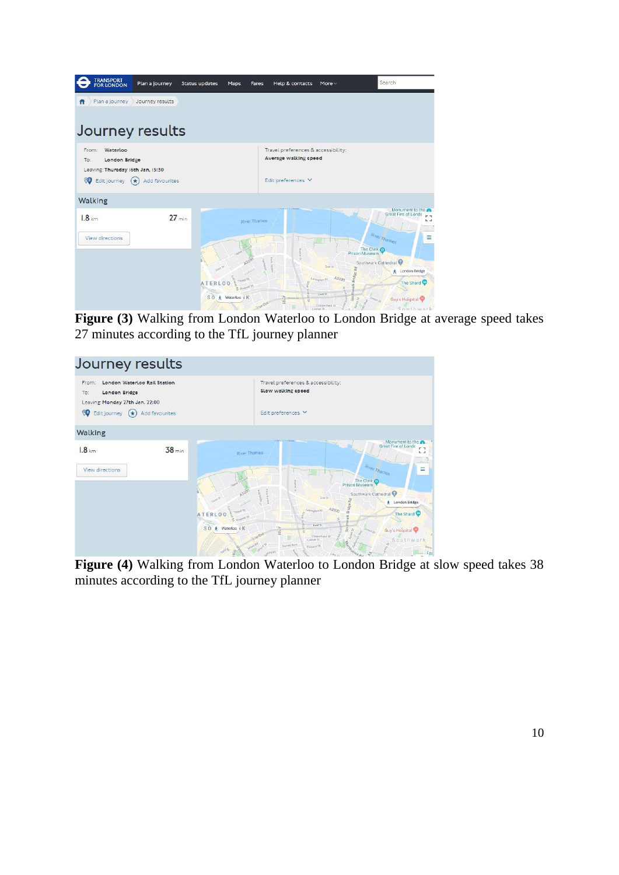

**Figure (3)** Walking from London Waterloo to London Bridge at average speed takes 27 minutes according to the TfL journey planner



**Figure (4)** Walking from London Waterloo to London Bridge at slow speed takes 38 minutes according to the TfL journey planner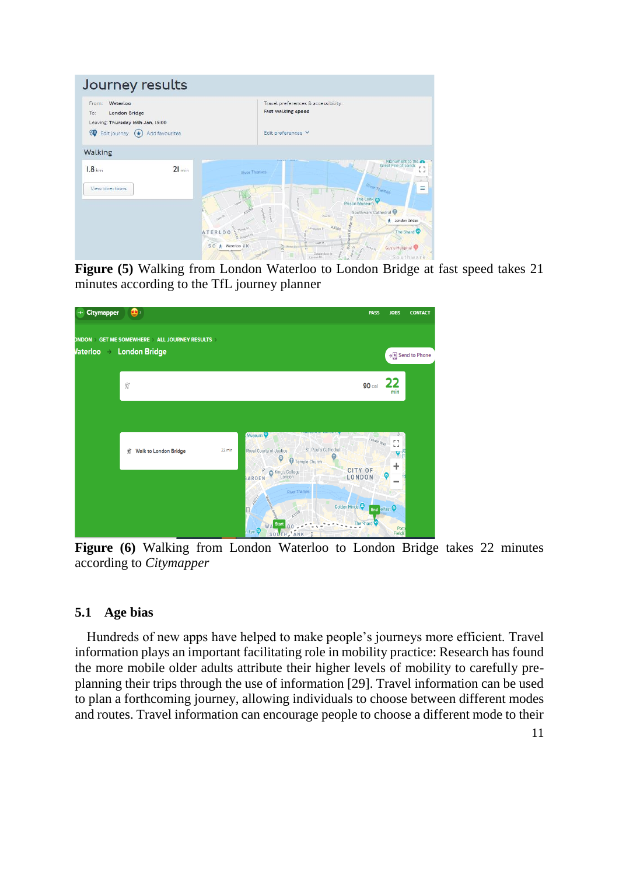| Leaving: Thursday 16th Jan, 15:00<br>Edit journey<br>$\circledcirc$<br>$(\star)$ | Add favourites   |                                                                                                                                                    |                           |
|----------------------------------------------------------------------------------|------------------|----------------------------------------------------------------------------------------------------------------------------------------------------|---------------------------|
|                                                                                  |                  | Edit preferences V                                                                                                                                 |                           |
| Walking                                                                          |                  | <b><i>STERN CALL FRONT</i></b>                                                                                                                     |                           |
| 1.8 <sub>km</sub><br>View directions                                             | $21 \text{ min}$ | Monument to the<br>Great Fire of Londo<br>River Thames<br>River Thames<br>The Clink Ca<br>Prison Museum                                            | $-7$<br>$L_{-}$<br>÷<br>Ξ |
|                                                                                  | <b>ATERLOO</b>   | Southwark Cathedral<br>ä<br>Zoor to<br><b>A</b> London Bridge<br>A3200<br><b>Lavagion ST</b><br>Thursd St.<br>The Shard <sup>O</sup><br>Routed St. |                           |

**Figure (5)** Walking from London Waterloo to London Bridge at fast speed takes 21 minutes according to the TfL journey planner



**Figure (6)** Walking from London Waterloo to London Bridge takes 22 minutes according to *Citymapper*

## **5.1 Age bias**

Hundreds of new apps have helped to make people's journeys more efficient. Travel information plays an important facilitating role in mobility practice: Research has found the more mobile older adults attribute their higher levels of mobility to carefully preplanning their trips through the use of information [29]. Travel information can be used to plan a forthcoming journey, allowing individuals to choose between different modes and routes. Travel information can encourage people to choose a different mode to their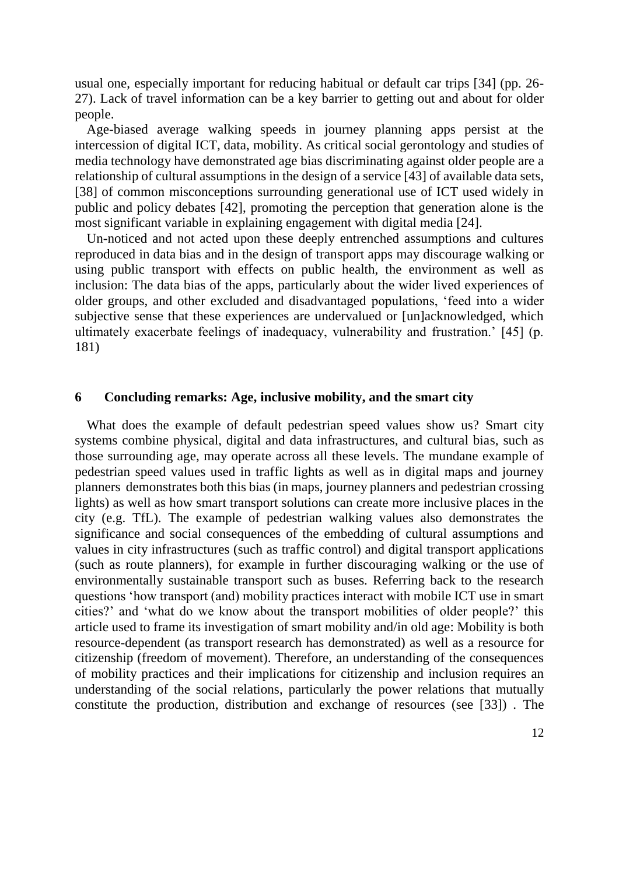usual one, especially important for reducing habitual or default car trips [34] (pp. 26- 27). Lack of travel information can be a key barrier to getting out and about for older people.

Age-biased average walking speeds in journey planning apps persist at the intercession of digital ICT, data, mobility. As critical social gerontology and studies of media technology have demonstrated age bias discriminating against older people are a relationship of cultural assumptions in the design of a service [43] of available data sets, [38] of common misconceptions surrounding generational use of ICT used widely in public and policy debates [42], promoting the perception that generation alone is the most significant variable in explaining engagement with digital media [24].

Un-noticed and not acted upon these deeply entrenched assumptions and cultures reproduced in data bias and in the design of transport apps may discourage walking or using public transport with effects on public health, the environment as well as inclusion: The data bias of the apps, particularly about the wider lived experiences of older groups, and other excluded and disadvantaged populations, 'feed into a wider subjective sense that these experiences are undervalued or [un]acknowledged, which ultimately exacerbate feelings of inadequacy, vulnerability and frustration.' [45] (p. 181)

### **6 Concluding remarks: Age, inclusive mobility, and the smart city**

What does the example of default pedestrian speed values show us? Smart city systems combine physical, digital and data infrastructures, and cultural bias, such as those surrounding age, may operate across all these levels. The mundane example of pedestrian speed values used in traffic lights as well as in digital maps and journey planners demonstrates both this bias (in maps, journey planners and pedestrian crossing lights) as well as how smart transport solutions can create more inclusive places in the city (e.g. TfL). The example of pedestrian walking values also demonstrates the significance and social consequences of the embedding of cultural assumptions and values in city infrastructures (such as traffic control) and digital transport applications (such as route planners), for example in further discouraging walking or the use of environmentally sustainable transport such as buses. Referring back to the research questions 'how transport (and) mobility practices interact with mobile ICT use in smart cities?' and 'what do we know about the transport mobilities of older people?' this article used to frame its investigation of smart mobility and/in old age: Mobility is both resource-dependent (as transport research has demonstrated) as well as a resource for citizenship (freedom of movement). Therefore, an understanding of the consequences of mobility practices and their implications for citizenship and inclusion requires an understanding of the social relations, particularly the power relations that mutually constitute the production, distribution and exchange of resources (see [33]) . The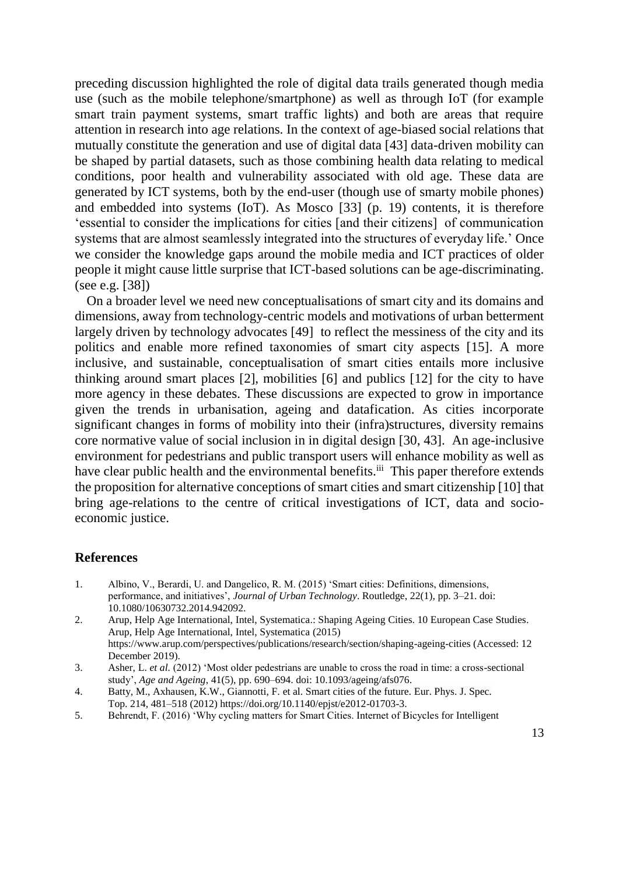preceding discussion highlighted the role of digital data trails generated though media use (such as the mobile telephone/smartphone) as well as through IoT (for example smart train payment systems, smart traffic lights) and both are areas that require attention in research into age relations. In the context of age-biased social relations that mutually constitute the generation and use of digital data [43] data-driven mobility can be shaped by partial datasets, such as those combining health data relating to medical conditions, poor health and vulnerability associated with old age. These data are generated by ICT systems, both by the end-user (though use of smarty mobile phones) and embedded into systems (IoT). As Mosco [33] (p. 19) contents, it is therefore 'essential to consider the implications for cities [and their citizens] of communication systems that are almost seamlessly integrated into the structures of everyday life.' Once we consider the knowledge gaps around the mobile media and ICT practices of older people it might cause little surprise that ICT-based solutions can be age-discriminating. (see e.g. [38])

On a broader level we need new conceptualisations of smart city and its domains and dimensions, away from technology-centric models and motivations of urban betterment largely driven by technology advocates [49] to reflect the messiness of the city and its politics and enable more refined taxonomies of smart city aspects [15]. A more inclusive, and sustainable, conceptualisation of smart cities entails more inclusive thinking around smart places [2], mobilities [6] and publics [12] for the city to have more agency in these debates. These discussions are expected to grow in importance given the trends in urbanisation, ageing and datafication. As cities incorporate significant changes in forms of mobility into their (infra)structures, diversity remains core normative value of social inclusion in in digital design [30, 43]. An age-inclusive environment for pedestrians and public transport users will enhance mobility as well as have clear public health and the environmental benefits.<sup>iii</sup> This paper therefore extends the proposition for alternative conceptions of smart cities and smart citizenship [10] that bring age-relations to the centre of critical investigations of ICT, data and socioeconomic justice.

#### **References**

- 1. Albino, V., Berardi, U. and Dangelico, R. M. (2015) 'Smart cities: Definitions, dimensions, performance, and initiatives', *Journal of Urban Technology*. Routledge, 22(1), pp. 3–21. doi: 10.1080/10630732.2014.942092.
- 2. Arup, Help Age International, Intel, Systematica.: Shaping Ageing Cities. 10 European Case Studies. Arup, Help Age International, Intel, Systematica (2015) https://www.arup.com/perspectives/publications/research/section/shaping-ageing-cities (Accessed: 12 December 2019).
- 3. Asher, L. *et al.* (2012) 'Most older pedestrians are unable to cross the road in time: a cross-sectional study', *Age and Ageing*, 41(5), pp. 690–694. doi: 10.1093/ageing/afs076.
- 4. Batty, M., Axhausen, K.W., Giannotti, F. et al. Smart cities of the future. Eur. Phys. J. Spec. Top. 214, 481–518 (2012) https://doi.org/10.1140/epjst/e2012-01703-3.
- 5. Behrendt, F. (2016) 'Why cycling matters for Smart Cities. Internet of Bicycles for Intelligent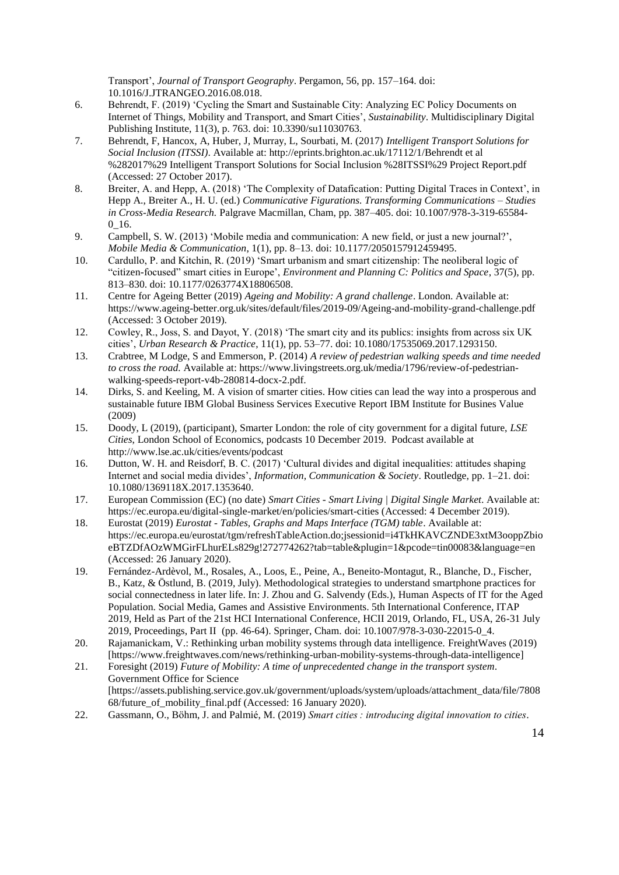Transport', *Journal of Transport Geography*. Pergamon, 56, pp. 157–164. doi: 10.1016/J.JTRANGEO.2016.08.018.

- 6. Behrendt, F. (2019) 'Cycling the Smart and Sustainable City: Analyzing EC Policy Documents on Internet of Things, Mobility and Transport, and Smart Cities', *Sustainability*. Multidisciplinary Digital Publishing Institute, 11(3), p. 763. doi: 10.3390/su11030763.
- 7. Behrendt, F, Hancox, A, Huber, J, Murray, L, Sourbati, M. (2017) *Intelligent Transport Solutions for Social Inclusion (ITSSI)*. Available at: http://eprints.brighton.ac.uk/17112/1/Behrendt et al %282017%29 Intelligent Transport Solutions for Social Inclusion %28ITSSI%29 Project Report.pdf (Accessed: 27 October 2017).
- 8. Breiter, A. and Hepp, A. (2018) 'The Complexity of Datafication: Putting Digital Traces in Context', in Hepp A., Breiter A., H. U. (ed.) *Communicative Figurations. Transforming Communications – Studies in Cross-Media Research.* Palgrave Macmillan, Cham, pp. 387–405. doi: 10.1007/978-3-319-65584- 0\_16.
- 9. Campbell, S. W. (2013) 'Mobile media and communication: A new field, or just a new journal?', *Mobile Media & Communication*, 1(1), pp. 8–13. doi: 10.1177/2050157912459495.
- 10. Cardullo, P. and Kitchin, R. (2019) 'Smart urbanism and smart citizenship: The neoliberal logic of "citizen-focused" smart cities in Europe', *Environment and Planning C: Politics and Space*, 37(5), pp. 813–830. doi: 10.1177/0263774X18806508.
- 11. Centre for Ageing Better (2019) *Ageing and Mobility: A grand challenge*. London. Available at: https://www.ageing-better.org.uk/sites/default/files/2019-09/Ageing-and-mobility-grand-challenge.pdf (Accessed: 3 October 2019).
- 12. Cowley, R., Joss, S. and Dayot, Y. (2018) 'The smart city and its publics: insights from across six UK cities', *Urban Research & Practice*, 11(1), pp. 53–77. doi: 10.1080/17535069.2017.1293150.
- 13. Crabtree, M Lodge, S and Emmerson, P. (2014) *A review of pedestrian walking speeds and time needed to cross the road.* Available at: https://www.livingstreets.org.uk/media/1796/review-of-pedestrianwalking-speeds-report-v4b-280814-docx-2.pdf.
- 14. Dirks, S. and Keeling, M. A vision of smarter cities. How cities can lead the way into a prosperous and sustainable future IBM Global Business Services Executive Report IBM Institute for Busines Value (2009)
- 15. Doody, L (2019), (participant), Smarter London: the role of city government for a digital future, *LSE Cities*, London School of Economics, podcasts 10 December 2019. Podcast available at <http://www.lse.ac.uk/cities/events/podcast>
- 16. Dutton, W. H. and Reisdorf, B. C. (2017) 'Cultural divides and digital inequalities: attitudes shaping Internet and social media divides', *Information, Communication & Society*. Routledge, pp. 1–21. doi: 10.1080/1369118X.2017.1353640.
- 17. European Commission (EC) (no date) *Smart Cities - Smart Living | Digital Single Market*. Available at: https://ec.europa.eu/digital-single-market/en/policies/smart-cities (Accessed: 4 December 2019).
- 18. Eurostat (2019) *Eurostat - Tables, Graphs and Maps Interface (TGM) table*. Available at: https://ec.europa.eu/eurostat/tgm/refreshTableAction.do;jsessionid=i4TkHKAVCZNDE3xtM3ooppZbio eBTZDfAOzWMGirFLhurELs829g!272774262?tab=table&plugin=1&pcode=tin00083&language=en (Accessed: 26 January 2020).
- 19. Fernández-Ardèvol, M., Rosales, A., Loos, E., Peine, A., Beneito-Montagut, R., Blanche, D., Fischer, B., Katz, & Östlund, B. (2019, July). Methodological strategies to understand smartphone practices for social connectedness in later life. In: J. Zhou and G. Salvendy (Eds.), Human Aspects of IT for the Aged Population. Social Media, Games and Assistive Environments. 5th International Conference, ITAP 2019, Held as Part of the 21st HCI International Conference, HCII 2019, Orlando, FL, USA, 26-31 July 2019, Proceedings, Part II (pp. 46-64). Springer, Cham. doi: 10.1007/978-3-030-22015-0\_4.
- 20. Rajamanickam, V.: Rethinking urban mobility systems through data intelligence. FreightWaves (2019) [\[https://www.freightwaves.com/news/rethinking-urban-mobility-systems-through-data-intelligence\]](https://www.freightwaves.com/news/rethinking-urban-mobility-systems-through-data-intelligence)
- 21. Foresight (2019) *Future of Mobility: A time of unprecedented change in the transport system*. Government Office for Science [https://assets.publishing.service.gov.uk/government/uploads/system/uploads/attachment\_data/file/7808 68/future\_of\_mobility\_final.pdf (Accessed: 16 January 2020).
- 22. Gassmann, O., Böhm, J. and Palmié, M. (2019) *Smart cities : introducing digital innovation to cities*.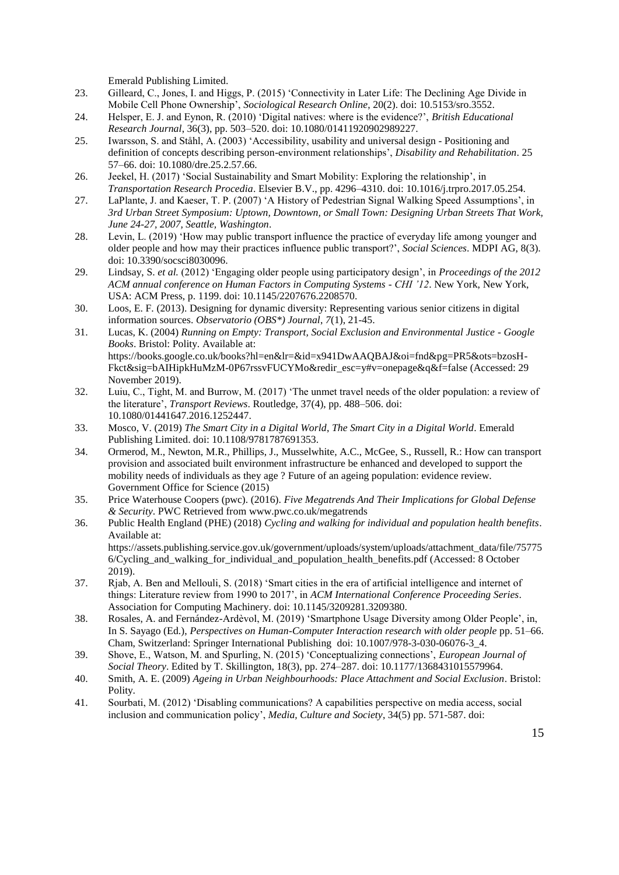Emerald Publishing Limited.

- 23. Gilleard, C., Jones, I. and Higgs, P. (2015) 'Connectivity in Later Life: The Declining Age Divide in Mobile Cell Phone Ownership', *Sociological Research Online*, 20(2). doi: 10.5153/sro.3552.
- 24. Helsper, E. J. and Eynon, R. (2010) 'Digital natives: where is the evidence?', *British Educational Research Journal*, 36(3), pp. 503–520. doi: 10.1080/01411920902989227.
- 25. Iwarsson, S. and Ståhl, A. (2003) 'Accessibility, usability and universal design Positioning and definition of concepts describing person-environment relationships', *Disability and Rehabilitation*. 25 57–66. doi: 10.1080/dre.25.2.57.66.
- 26. Jeekel, H. (2017) 'Social Sustainability and Smart Mobility: Exploring the relationship', in *Transportation Research Procedia*. Elsevier B.V., pp. 4296–4310. doi: 10.1016/j.trpro.2017.05.254.
- 27. LaPlante, J. and Kaeser, T. P. (2007) 'A History of Pedestrian Signal Walking Speed Assumptions', in *3rd Urban Street Symposium: Uptown, Downtown, or Small Town: Designing Urban Streets That Work, June 24-27, 2007, Seattle, Washington*.
- 28. Levin, L. (2019) 'How may public transport influence the practice of everyday life among younger and older people and how may their practices influence public transport?', *Social Sciences*. MDPI AG, 8(3). doi: 10.3390/socsci8030096.
- 29. Lindsay, S. *et al.* (2012) 'Engaging older people using participatory design', in *Proceedings of the 2012 ACM annual conference on Human Factors in Computing Systems - CHI '12*. New York, New York, USA: ACM Press, p. 1199. doi: 10.1145/2207676.2208570.
- 30. Loos, E. F. (2013). Designing for dynamic diversity: Representing various senior citizens in digital information sources. *Observatorio (OBS\*) Journal*, *7*(1), 21-45.
- 31. Lucas, K. (2004) *Running on Empty: Transport, Social Exclusion and Environmental Justice - Google Books*. Bristol: Polity. Available at: https://books.google.co.uk/books?hl=en&lr=&id=x941DwAAQBAJ&oi=fnd&pg=PR5&ots=bzosH-Fkct&sig=bAIHipkHuMzM-0P67rssvFUCYMo&redir\_esc=y#v=onepage&q&f=false (Accessed: 29 November 2019).
- 32. Luiu, C., Tight, M. and Burrow, M. (2017) 'The unmet travel needs of the older population: a review of the literature', *Transport Reviews*. Routledge, 37(4), pp. 488–506. doi: 10.1080/01441647.2016.1252447.
- 33. Mosco, V. (2019) *The Smart City in a Digital World*, *The Smart City in a Digital World*. Emerald Publishing Limited. doi: 10.1108/9781787691353.
- 34. Ormerod, M., Newton, M.R., Phillips, J., Musselwhite, A.C., McGee, S., Russell, R.: How can transport provision and associated built environment infrastructure be enhanced and developed to support the mobility needs of individuals as they age ? Future of an ageing population: evidence review. Government Office for Science (2015)
- 35. Price Waterhouse Coopers (pwc). (2016). *Five Megatrends And Their Implications for Global Defense & Security*. PWC Retrieved from www.pwc.co.uk/megatrends
- 36. Public Health England (PHE) (2018) *Cycling and walking for individual and population health benefits*. Available at: https://assets.publishing.service.gov.uk/government/uploads/system/uploads/attachment\_data/file/75775 6/Cycling\_and\_walking\_for\_individual\_and\_population\_health\_benefits.pdf (Accessed: 8 October 2019).
- 37. Rjab, A. Ben and Mellouli, S. (2018) 'Smart cities in the era of artificial intelligence and internet of things: Literature review from 1990 to 2017', in *ACM International Conference Proceeding Series*. Association for Computing Machinery. doi: 10.1145/3209281.3209380.
- 38. Rosales, A. and Fernández-Ardèvol, M. (2019) 'Smartphone Usage Diversity among Older People', in, In S. Sayago (Ed.), *Perspectives on Human-Computer Interaction research with older people* pp. 51–66. Cham, Switzerland: Springer International Publishing doi: 10.1007/978-3-030-06076-3\_4.
- 39. Shove, E., Watson, M. and Spurling, N. (2015) 'Conceptualizing connections', *European Journal of Social Theory*. Edited by T. Skillington, 18(3), pp. 274–287. doi: 10.1177/1368431015579964.
- 40. Smith, A. E. (2009) *Ageing in Urban Neighbourhoods: Place Attachment and Social Exclusion*. Bristol: Polity.
- 41. Sourbati, M. (2012) 'Disabling communications? A capabilities perspective on media access, social inclusion and communication policy', *Media, Culture and Society*, 34(5) pp. 571-587. doi: